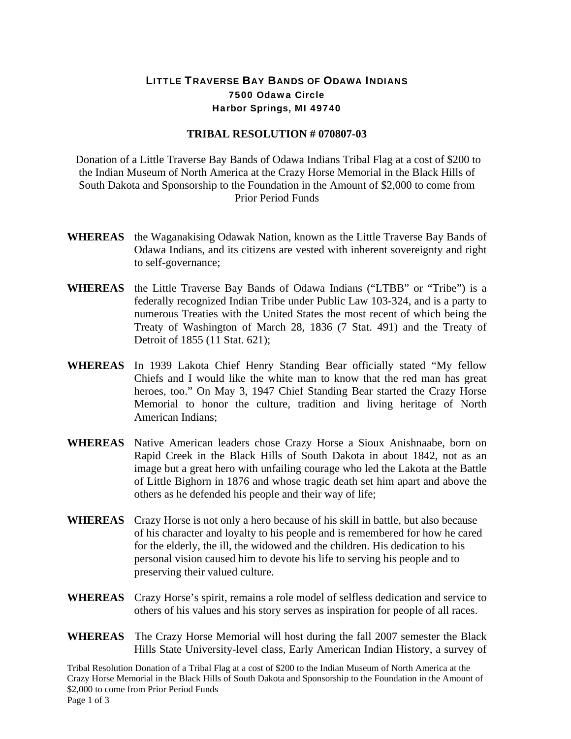## LITTLE TRAVERSE BAY BANDS OF ODAWA INDIANS 7500 Odawa Circle Harbor Springs, MI 49740

## **TRIBAL RESOLUTION # 070807-03**

 Donation of a Little Traverse Bay Bands of Odawa Indians Tribal Flag at a cost of \$200 to the Indian Museum of North America at the Crazy Horse Memorial in the Black Hills of South Dakota and Sponsorship to the Foundation in the Amount of \$2,000 to come from Prior Period Funds

- **WHEREAS** the Waganakising Odawak Nation, known as the Little Traverse Bay Bands of Odawa Indians, and its citizens are vested with inherent sovereignty and right to self-governance;
- **WHEREAS** the Little Traverse Bay Bands of Odawa Indians ("LTBB" or "Tribe") is a federally recognized Indian Tribe under Public Law 103-324, and is a party to numerous Treaties with the United States the most recent of which being the Treaty of Washington of March 28, 1836 (7 Stat. 491) and the Treaty of Detroit of 1855 (11 Stat. 621);
- **WHEREAS** In 1939 Lakota Chief Henry Standing Bear officially stated "My fellow Chiefs and I would like the white man to know that the red man has great heroes, too." On May 3, 1947 Chief Standing Bear started the Crazy Horse Memorial to honor the culture, tradition and living heritage of North American Indians;
- **WHEREAS** Native American leaders chose Crazy Horse a Sioux Anishnaabe, born on Rapid Creek in the Black Hills of South Dakota in about 1842, not as an image but a great hero with unfailing courage who led the Lakota at the Battle of Little Bighorn in 1876 and whose tragic death set him apart and above the others as he defended his people and their way of life;
- **WHEREAS** Crazy Horse is not only a hero because of his skill in battle, but also because of his character and loyalty to his people and is remembered for how he cared for the elderly, the ill, the widowed and the children. His dedication to his personal vision caused him to devote his life to serving his people and to preserving their valued culture.
- **WHEREAS** Crazy Horse's spirit, remains a role model of selfless dedication and service to others of his values and his story serves as inspiration for people of all races.
- **WHEREAS** The Crazy Horse Memorial will host during the fall 2007 semester the Black Hills State University-level class, Early American Indian History, a survey of

Tribal Resolution Donation of a Tribal Flag at a cost of \$200 to the Indian Museum of North America at the Crazy Horse Memorial in the Black Hills of South Dakota and Sponsorship to the Foundation in the Amount of \$2,000 to come from Prior Period Funds Page 1 of 3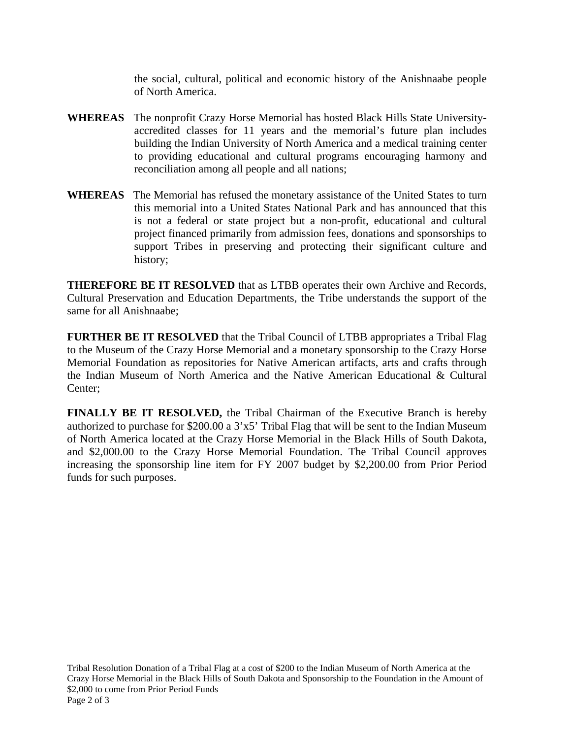the social, cultural, political and economic history of the Anishnaabe people of North America.

- **WHEREAS** The nonprofit Crazy Horse Memorial has hosted Black Hills State Universityaccredited classes for 11 years and the memorial's future plan includes building the Indian University of North America and a medical training center to providing educational and cultural programs encouraging harmony and reconciliation among all people and all nations;
- **WHEREAS** The Memorial has refused the monetary assistance of the United States to turn this memorial into a United States National Park and has announced that this is not a federal or state project but a non-profit, educational and cultural project financed primarily from admission fees, donations and sponsorships to support Tribes in preserving and protecting their significant culture and history;

**THEREFORE BE IT RESOLVED** that as LTBB operates their own Archive and Records, Cultural Preservation and Education Departments, the Tribe understands the support of the same for all Anishnaabe;

**FURTHER BE IT RESOLVED** that the Tribal Council of LTBB appropriates a Tribal Flag to the Museum of the Crazy Horse Memorial and a monetary sponsorship to the Crazy Horse Memorial Foundation as repositories for Native American artifacts, arts and crafts through the Indian Museum of North America and the Native American Educational & Cultural Center;

**FINALLY BE IT RESOLVED,** the Tribal Chairman of the Executive Branch is hereby authorized to purchase for \$200.00 a 3'x5' Tribal Flag that will be sent to the Indian Museum of North America located at the Crazy Horse Memorial in the Black Hills of South Dakota, and \$2,000.00 to the Crazy Horse Memorial Foundation. The Tribal Council approves increasing the sponsorship line item for FY 2007 budget by \$2,200.00 from Prior Period funds for such purposes.